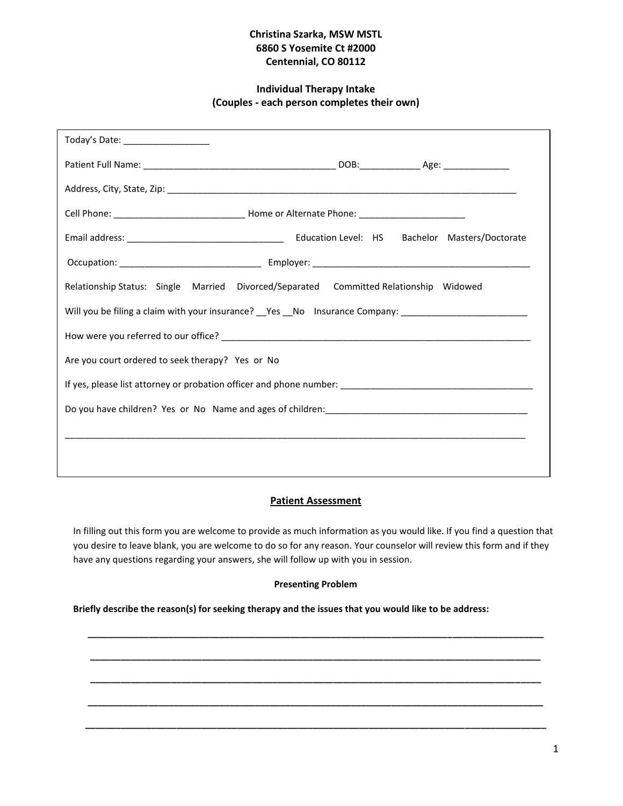# **Christina Szarka, MSW MSTL 6860 S Yosemite Ct #2000 Centennial, CO 80112**

# **Individual Therapy Intake (Couples - each person completes their own)**

| Today's Date: ___________________                                                                    |  |
|------------------------------------------------------------------------------------------------------|--|
|                                                                                                      |  |
|                                                                                                      |  |
|                                                                                                      |  |
|                                                                                                      |  |
|                                                                                                      |  |
| Relationship Status: Single Married Divorced/Separated Committed Relationship Widowed                |  |
| Will you be filing a claim with your insurance? __Yes __No lnsurance Company: ______________________ |  |
|                                                                                                      |  |
| Are you court ordered to seek therapy? Yes or No                                                     |  |
|                                                                                                      |  |
|                                                                                                      |  |
|                                                                                                      |  |
|                                                                                                      |  |

# **Patient Assessment**

In filling out this form you are welcome to provide as much information as you would like. If you find a question that you desire to leave blank, you are welcome to do so for any reason. Your counselor will review this form and if they have any questions regarding your answers, she will follow up with you in session.

### **Presenting Problem**

**\_\_\_\_\_\_\_\_\_\_\_\_\_\_\_\_\_\_\_\_\_\_\_\_\_\_\_\_\_\_\_\_\_\_\_\_\_\_\_\_\_\_\_\_\_\_\_\_\_\_\_\_\_\_\_\_\_\_\_\_\_\_\_\_\_\_\_\_\_\_\_\_\_\_\_\_\_\_\_\_\_\_\_\_\_\_\_\_\_\_**

**\_\_\_\_\_\_\_\_\_\_\_\_\_\_\_\_\_\_\_\_\_\_\_\_\_\_\_\_\_\_\_\_\_\_\_\_\_\_\_\_\_\_\_\_\_\_\_\_\_\_\_\_\_\_\_\_\_\_\_\_\_\_\_\_\_\_\_\_\_\_\_\_\_\_\_\_\_\_\_\_\_\_\_\_\_\_\_\_\_**

**\_\_\_\_\_\_\_\_\_\_\_\_\_\_\_\_\_\_\_\_\_\_\_\_\_\_\_\_\_\_\_\_\_\_\_\_\_\_\_\_\_\_\_\_\_\_\_\_\_\_\_\_\_\_\_\_\_\_\_\_\_\_\_\_\_\_\_\_\_\_\_\_\_\_\_\_\_\_\_\_\_\_\_\_\_\_\_\_\_**

**\_\_\_\_\_\_\_\_\_\_\_\_\_\_\_\_\_\_\_\_\_\_\_\_\_\_\_\_\_\_\_\_\_\_\_\_\_\_\_\_\_\_\_\_\_\_\_\_\_\_\_\_\_\_\_\_\_\_\_\_\_\_\_\_\_\_\_\_\_\_\_\_\_\_\_\_\_\_\_\_\_\_\_\_\_\_\_\_\_\_**

**\_\_\_\_\_\_\_\_\_\_\_\_\_\_\_\_\_\_\_\_\_\_\_\_\_\_\_\_\_\_\_\_\_\_\_\_\_\_\_\_\_\_\_\_\_\_\_\_\_\_\_\_\_\_\_\_\_\_\_\_\_\_\_\_\_\_\_\_\_\_\_\_\_\_\_\_\_\_\_\_\_\_\_\_\_\_\_\_\_\_\_**

#### **Briefly describe the reason(s) for seeking therapy and the issues that you would like to be address:**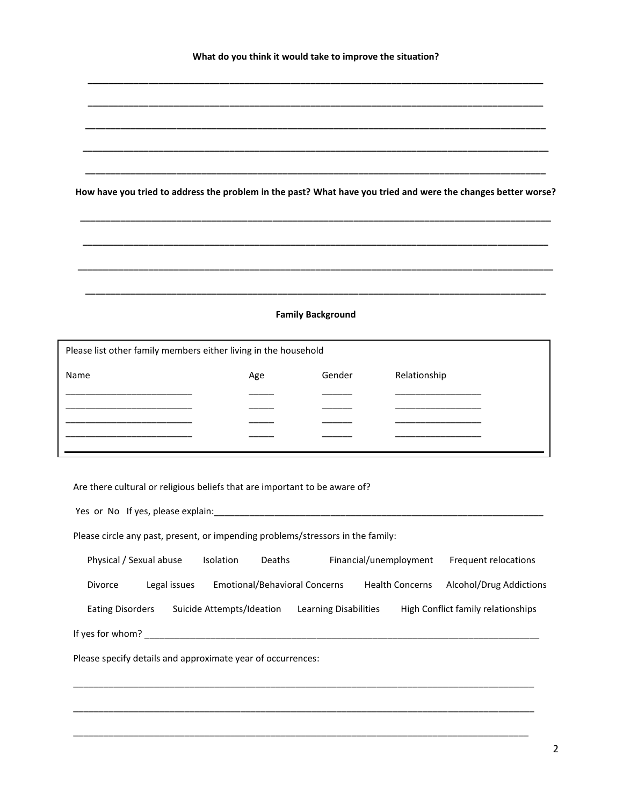**\_\_\_\_\_\_\_\_\_\_\_\_\_\_\_\_\_\_\_\_\_\_\_\_\_\_\_\_\_\_\_\_\_\_\_\_\_\_\_\_\_\_\_\_\_\_\_\_\_\_\_\_\_\_\_\_\_\_\_\_\_\_\_\_\_\_\_\_\_\_\_\_\_\_\_\_\_\_\_\_\_\_\_\_\_\_\_\_\_\_**

**\_\_\_\_\_\_\_\_\_\_\_\_\_\_\_\_\_\_\_\_\_\_\_\_\_\_\_\_\_\_\_\_\_\_\_\_\_\_\_\_\_\_\_\_\_\_\_\_\_\_\_\_\_\_\_\_\_\_\_\_\_\_\_\_\_\_\_\_\_\_\_\_\_\_\_\_\_\_\_\_\_\_\_\_\_\_\_\_\_\_**

**\_\_\_\_\_\_\_\_\_\_\_\_\_\_\_\_\_\_\_\_\_\_\_\_\_\_\_\_\_\_\_\_\_\_\_\_\_\_\_\_\_\_\_\_\_\_\_\_\_\_\_\_\_\_\_\_\_\_\_\_\_\_\_\_\_\_\_\_\_\_\_\_\_\_\_\_\_\_\_\_\_\_\_\_\_\_\_\_\_\_\_**

**\_\_\_\_\_\_\_\_\_\_\_\_\_\_\_\_\_\_\_\_\_\_\_\_\_\_\_\_\_\_\_\_\_\_\_\_\_\_\_\_\_\_\_\_\_\_\_\_\_\_\_\_\_\_\_\_\_\_\_\_\_\_\_\_\_\_\_\_\_\_\_\_\_\_\_\_\_\_\_\_\_\_\_\_\_\_\_\_\_\_\_\_**

**\_\_\_\_\_\_\_\_\_\_\_\_\_\_\_\_\_\_\_\_\_\_\_\_\_\_\_\_\_\_\_\_\_\_\_\_\_\_\_\_\_\_\_\_\_\_\_\_\_\_\_\_\_\_\_\_\_\_\_\_\_\_\_\_\_\_\_\_\_\_\_\_\_\_\_\_\_\_\_\_\_\_\_\_\_\_\_\_\_\_\_**

**How have you tried to address the problem in the past? What have you tried and were the changes better worse?**

**\_\_\_\_\_\_\_\_\_\_\_\_\_\_\_\_\_\_\_\_\_\_\_\_\_\_\_\_\_\_\_\_\_\_\_\_\_\_\_\_\_\_\_\_\_\_\_\_\_\_\_\_\_\_\_\_\_\_\_\_\_\_\_\_\_\_\_\_\_\_\_\_\_\_\_\_\_\_\_\_\_\_\_\_\_\_\_\_\_\_\_\_\_**

**\_\_\_\_\_\_\_\_\_\_\_\_\_\_\_\_\_\_\_\_\_\_\_\_\_\_\_\_\_\_\_\_\_\_\_\_\_\_\_\_\_\_\_\_\_\_\_\_\_\_\_\_\_\_\_\_\_\_\_\_\_\_\_\_\_\_\_\_\_\_\_\_\_\_\_\_\_\_\_\_\_\_\_\_\_\_\_\_\_\_\_\_**

**\_\_\_\_\_\_\_\_\_\_\_\_\_\_\_\_\_\_\_\_\_\_\_\_\_\_\_\_\_\_\_\_\_\_\_\_\_\_\_\_\_\_\_\_\_\_\_\_\_\_\_\_\_\_\_\_\_\_\_\_\_\_\_\_\_\_\_\_\_\_\_\_\_\_\_\_\_\_\_\_\_\_\_\_\_\_\_\_\_\_\_\_\_\_**

**\_\_\_\_\_\_\_\_\_\_\_\_\_\_\_\_\_\_\_\_\_\_\_\_\_\_\_\_\_\_\_\_\_\_\_\_\_\_\_\_\_\_\_\_\_\_\_\_\_\_\_\_\_\_\_\_\_\_\_\_\_\_\_\_\_\_\_\_\_\_\_\_\_\_\_\_\_\_\_\_\_\_\_\_\_\_\_\_\_\_\_**

#### **Family Background**

| Please list other family members either living in the household |     |        |              |
|-----------------------------------------------------------------|-----|--------|--------------|
| Name                                                            | Age | Gender | Relationship |
|                                                                 |     |        |              |
|                                                                 |     |        |              |
|                                                                 |     |        |              |
|                                                                 |     |        |              |
|                                                                 |     |        |              |

Are there cultural or religious beliefs that are important to be aware of?

| Yes or No If yes, please explain:                                               |                                      |                        |                        |                                    |
|---------------------------------------------------------------------------------|--------------------------------------|------------------------|------------------------|------------------------------------|
| Please circle any past, present, or impending problems/stressors in the family: |                                      |                        |                        |                                    |
| Physical / Sexual abuse                                                         | Isolation<br>Deaths                  | Financial/unemployment |                        | Frequent relocations               |
| <b>Divorce</b><br>Legal issues                                                  | <b>Emotional/Behavioral Concerns</b> |                        | <b>Health Concerns</b> | Alcohol/Drug Addictions            |
| <b>Eating Disorders</b>                                                         | Suicide Attempts/Ideation            | Learning Disabilities  |                        | High Conflict family relationships |
| If yes for whom?                                                                |                                      |                        |                        |                                    |
| Please specify details and approximate year of occurrences:                     |                                      |                        |                        |                                    |
|                                                                                 |                                      |                        |                        |                                    |

\_\_\_\_\_\_\_\_\_\_\_\_\_\_\_\_\_\_\_\_\_\_\_\_\_\_\_\_\_\_\_\_\_\_\_\_\_\_\_\_\_\_\_\_\_\_\_\_\_\_\_\_\_\_\_\_\_\_\_\_\_\_\_\_\_\_\_\_\_\_\_\_\_\_\_\_\_\_\_\_\_\_\_\_\_\_\_\_\_\_\_

\_\_\_\_\_\_\_\_\_\_\_\_\_\_\_\_\_\_\_\_\_\_\_\_\_\_\_\_\_\_\_\_\_\_\_\_\_\_\_\_\_\_\_\_\_\_\_\_\_\_\_\_\_\_\_\_\_\_\_\_\_\_\_\_\_\_\_\_\_\_\_\_\_\_\_\_\_\_\_\_\_\_\_\_\_\_\_\_\_\_

2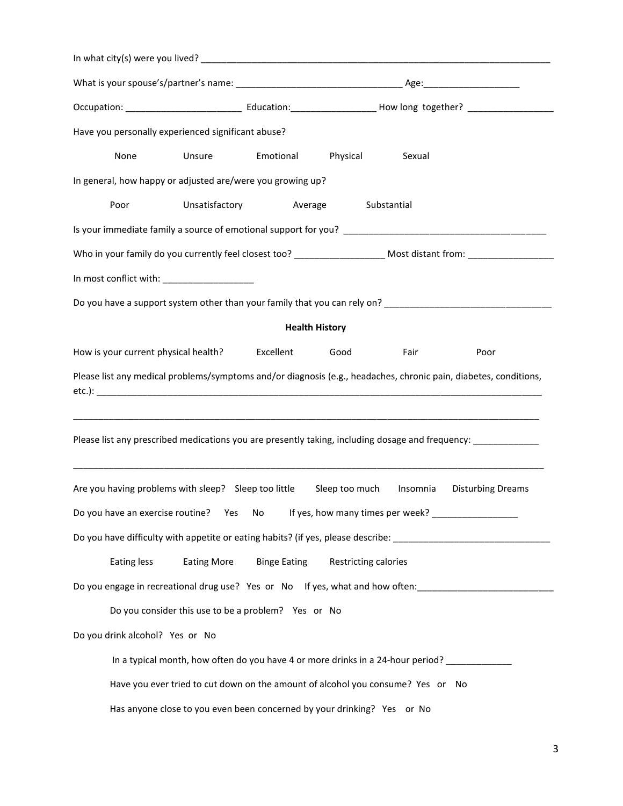| Have you personally experienced significant abuse?                            |                                                                                 |                     |                       |             |                                                                                                                  |
|-------------------------------------------------------------------------------|---------------------------------------------------------------------------------|---------------------|-----------------------|-------------|------------------------------------------------------------------------------------------------------------------|
| None                                                                          | <b>Unsure</b>                                                                   | Emotional Physical  |                       | Sexual      |                                                                                                                  |
| In general, how happy or adjusted are/were you growing up?                    |                                                                                 |                     |                       |             |                                                                                                                  |
| Poor                                                                          | Unsatisfactory                                                                  | Average             |                       | Substantial |                                                                                                                  |
|                                                                               |                                                                                 |                     |                       |             |                                                                                                                  |
|                                                                               |                                                                                 |                     |                       |             |                                                                                                                  |
|                                                                               |                                                                                 |                     |                       |             |                                                                                                                  |
|                                                                               |                                                                                 |                     |                       |             |                                                                                                                  |
|                                                                               |                                                                                 |                     | <b>Health History</b> |             |                                                                                                                  |
| How is your current physical health?                                          |                                                                                 | Excellent           | Good                  | Fair        | Poor                                                                                                             |
|                                                                               |                                                                                 |                     |                       |             | Please list any medical problems/symptoms and/or diagnosis (e.g., headaches, chronic pain, diabetes, conditions, |
|                                                                               |                                                                                 |                     |                       |             | Please list any prescribed medications you are presently taking, including dosage and frequency: ____________    |
| Are you having problems with sleep? Sleep too little                          |                                                                                 |                     | Sleep too much        | Insomnia    | <b>Disturbing Dreams</b>                                                                                         |
| Do you have an exercise routine?                                              | Yes                                                                             | No                  |                       |             |                                                                                                                  |
|                                                                               |                                                                                 |                     |                       |             | Do you have difficulty with appetite or eating habits? (if yes, please describe: _____________________________   |
| Eating less                                                                   | <b>Eating More</b>                                                              | <b>Binge Eating</b> | Restricting calories  |             |                                                                                                                  |
| Do you engage in recreational drug use? Yes or No If yes, what and how often: |                                                                                 |                     |                       |             |                                                                                                                  |
|                                                                               | Do you consider this use to be a problem? Yes or No                             |                     |                       |             |                                                                                                                  |
| Do you drink alcohol? Yes or No                                               |                                                                                 |                     |                       |             |                                                                                                                  |
|                                                                               | In a typical month, how often do you have 4 or more drinks in a 24-hour period? |                     |                       |             |                                                                                                                  |
|                                                                               | Have you ever tried to cut down on the amount of alcohol you consume? Yes or No |                     |                       |             |                                                                                                                  |
|                                                                               | Has anyone close to you even been concerned by your drinking? Yes or No         |                     |                       |             |                                                                                                                  |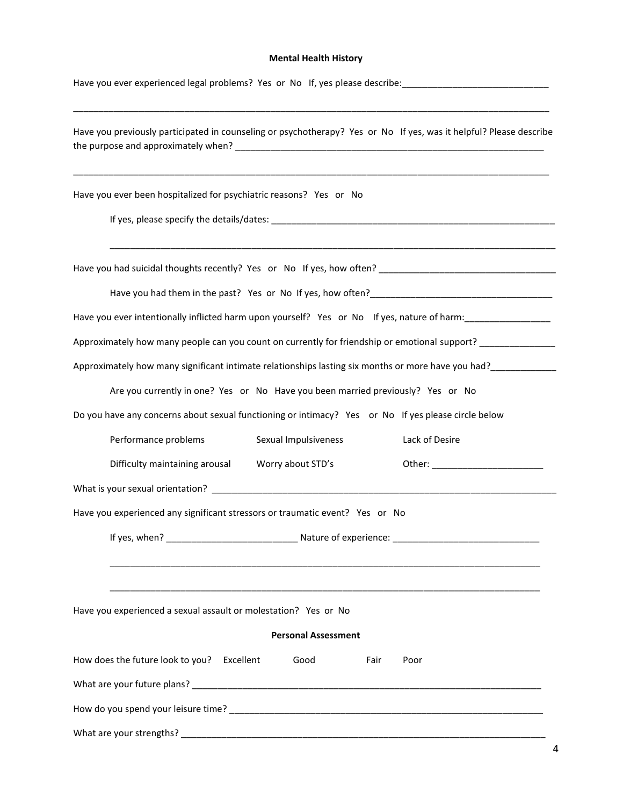## **Mental Health History**

| Have you ever experienced legal problems? Yes or No If, yes please describe: _________________________________                                                                                                      |
|---------------------------------------------------------------------------------------------------------------------------------------------------------------------------------------------------------------------|
| Have you previously participated in counseling or psychotherapy? Yes or No If yes, was it helpful? Please describe                                                                                                  |
| Have you ever been hospitalized for psychiatric reasons? Yes or No                                                                                                                                                  |
|                                                                                                                                                                                                                     |
|                                                                                                                                                                                                                     |
| Have you ever intentionally inflicted harm upon yourself? Yes or No If yes, nature of harm:                                                                                                                         |
| Approximately how many people can you count on currently for friendship or emotional support? _______________                                                                                                       |
| Approximately how many significant intimate relationships lasting six months or more have you had?<br>Superson that the set of the set of the set of the set of the set of the set of the set of the set of the set |
| Are you currently in one? Yes or No Have you been married previously? Yes or No                                                                                                                                     |
| Do you have any concerns about sexual functioning or intimacy? Yes or No If yes please circle below                                                                                                                 |
| Performance problems<br>Lack of Desire<br>Sexual Impulsiveness                                                                                                                                                      |
| Difficulty maintaining arousal<br>Worry about STD's                                                                                                                                                                 |
|                                                                                                                                                                                                                     |
| Have you experienced any significant stressors or traumatic event? Yes or No                                                                                                                                        |
|                                                                                                                                                                                                                     |
| Have you experienced a sexual assault or molestation? Yes or No<br><b>Personal Assessment</b>                                                                                                                       |
| How does the future look to you? Excellent<br>Good<br>Fair<br>Poor                                                                                                                                                  |
|                                                                                                                                                                                                                     |
|                                                                                                                                                                                                                     |
|                                                                                                                                                                                                                     |
|                                                                                                                                                                                                                     |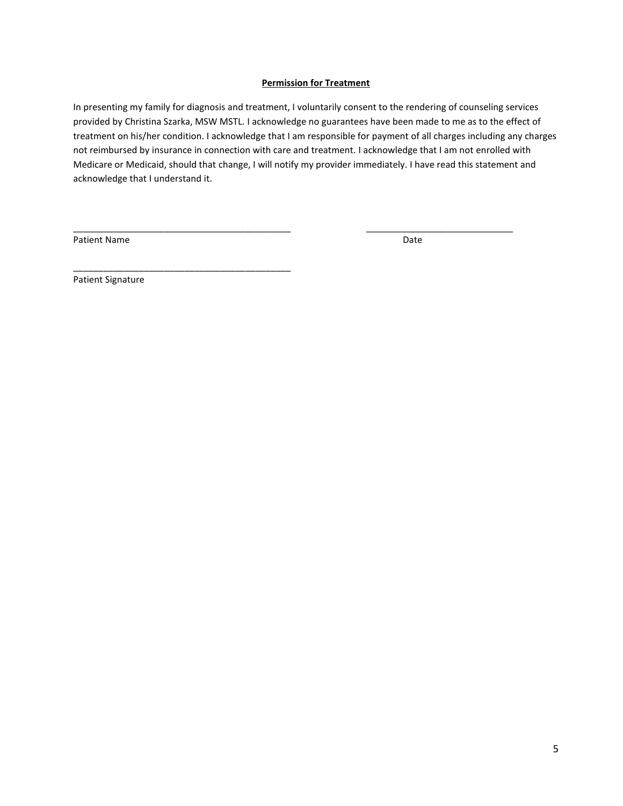## **Permission for Treatment**

In presenting my family for diagnosis and treatment, I voluntarily consent to the rendering of counseling services provided by Christina Szarka, MSW MSTL. I acknowledge no guarantees have been made to me as to the effect of treatment on his/her condition. I acknowledge that I am responsible for payment of all charges including any charges not reimbursed by insurance in connection with care and treatment. I acknowledge that I am not enrolled with Medicare or Medicaid, should that change, I will notify my provider immediately. I have read this statement and acknowledge that I understand it.

\_\_\_\_\_\_\_\_\_\_\_\_\_\_\_\_\_\_\_\_\_\_\_\_\_\_\_\_\_\_\_\_\_\_\_\_\_\_\_\_\_\_\_ \_\_\_\_\_\_\_\_\_\_\_\_\_\_\_\_\_\_\_\_\_\_\_\_\_\_\_\_\_

Patient Name Date

Patient Signature

\_\_\_\_\_\_\_\_\_\_\_\_\_\_\_\_\_\_\_\_\_\_\_\_\_\_\_\_\_\_\_\_\_\_\_\_\_\_\_\_\_\_\_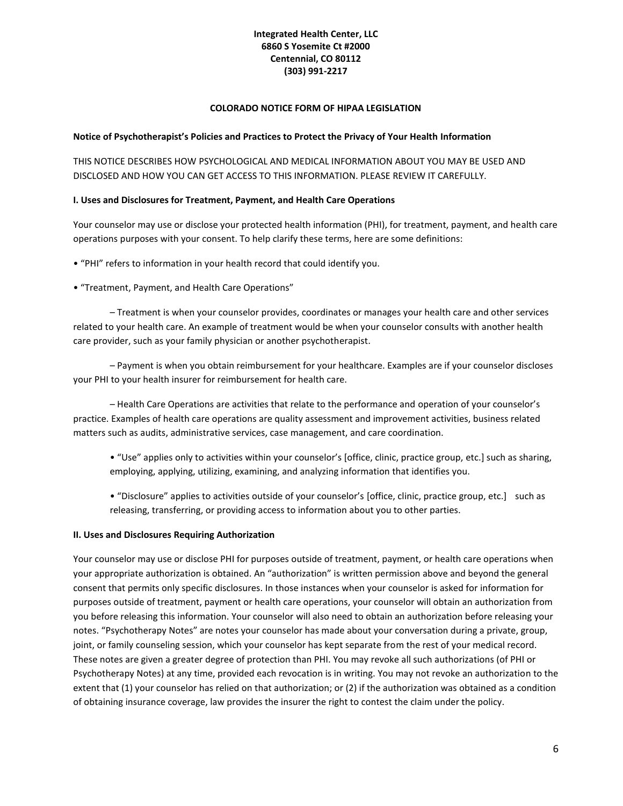## **Integrated Health Center, LLC 6860 S Yosemite Ct #2000 Centennial, CO 80112 (303) 991-2217**

### **COLORADO NOTICE FORM OF HIPAA LEGISLATION**

### **Notice of Psychotherapist's Policies and Practices to Protect the Privacy of Your Health Information**

THIS NOTICE DESCRIBES HOW PSYCHOLOGICAL AND MEDICAL INFORMATION ABOUT YOU MAY BE USED AND DISCLOSED AND HOW YOU CAN GET ACCESS TO THIS INFORMATION. PLEASE REVIEW IT CAREFULLY.

### **I. Uses and Disclosures for Treatment, Payment, and Health Care Operations**

Your counselor may use or disclose your protected health information (PHI), for treatment, payment, and health care operations purposes with your consent. To help clarify these terms, here are some definitions:

- "PHI" refers to information in your health record that could identify you.
- "Treatment, Payment, and Health Care Operations"

– Treatment is when your counselor provides, coordinates or manages your health care and other services related to your health care. An example of treatment would be when your counselor consults with another health care provider, such as your family physician or another psychotherapist.

– Payment is when you obtain reimbursement for your healthcare. Examples are if your counselor discloses your PHI to your health insurer for reimbursement for health care.

– Health Care Operations are activities that relate to the performance and operation of your counselor's practice. Examples of health care operations are quality assessment and improvement activities, business related matters such as audits, administrative services, case management, and care coordination.

- "Use" applies only to activities within your counselor's [office, clinic, practice group, etc.] such as sharing, employing, applying, utilizing, examining, and analyzing information that identifies you.
- "Disclosure" applies to activities outside of your counselor's [office, clinic, practice group, etc.] such as releasing, transferring, or providing access to information about you to other parties.

### **II. Uses and Disclosures Requiring Authorization**

Your counselor may use or disclose PHI for purposes outside of treatment, payment, or health care operations when your appropriate authorization is obtained. An "authorization" is written permission above and beyond the general consent that permits only specific disclosures. In those instances when your counselor is asked for information for purposes outside of treatment, payment or health care operations, your counselor will obtain an authorization from you before releasing this information. Your counselor will also need to obtain an authorization before releasing your notes. "Psychotherapy Notes" are notes your counselor has made about your conversation during a private, group, joint, or family counseling session, which your counselor has kept separate from the rest of your medical record. These notes are given a greater degree of protection than PHI. You may revoke all such authorizations (of PHI or Psychotherapy Notes) at any time, provided each revocation is in writing. You may not revoke an authorization to the extent that (1) your counselor has relied on that authorization; or (2) if the authorization was obtained as a condition of obtaining insurance coverage, law provides the insurer the right to contest the claim under the policy.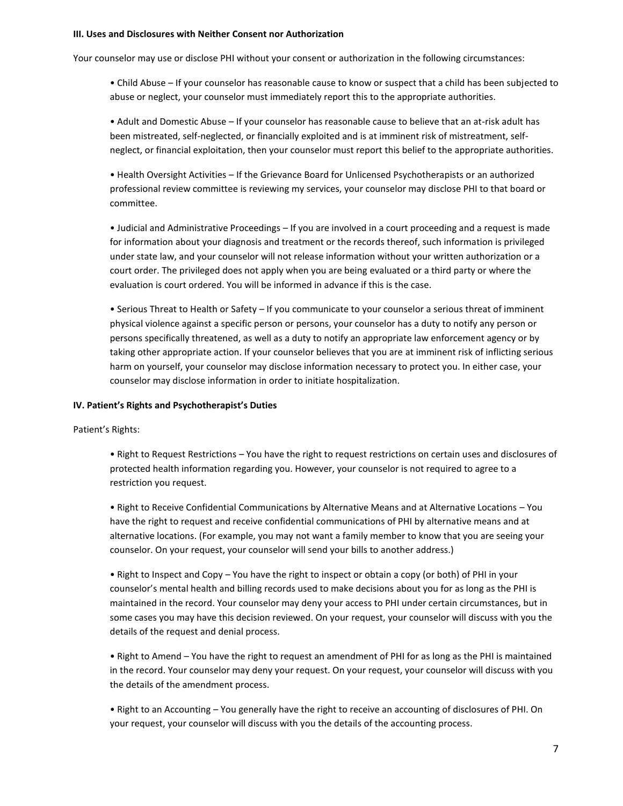#### **III. Uses and Disclosures with Neither Consent nor Authorization**

Your counselor may use or disclose PHI without your consent or authorization in the following circumstances:

• Child Abuse – If your counselor has reasonable cause to know or suspect that a child has been subjected to abuse or neglect, your counselor must immediately report this to the appropriate authorities.

• Adult and Domestic Abuse – If your counselor has reasonable cause to believe that an at-risk adult has been mistreated, self-neglected, or financially exploited and is at imminent risk of mistreatment, selfneglect, or financial exploitation, then your counselor must report this belief to the appropriate authorities.

• Health Oversight Activities – If the Grievance Board for Unlicensed Psychotherapists or an authorized professional review committee is reviewing my services, your counselor may disclose PHI to that board or committee.

• Judicial and Administrative Proceedings – If you are involved in a court proceeding and a request is made for information about your diagnosis and treatment or the records thereof, such information is privileged under state law, and your counselor will not release information without your written authorization or a court order. The privileged does not apply when you are being evaluated or a third party or where the evaluation is court ordered. You will be informed in advance if this is the case.

• Serious Threat to Health or Safety – If you communicate to your counselor a serious threat of imminent physical violence against a specific person or persons, your counselor has a duty to notify any person or persons specifically threatened, as well as a duty to notify an appropriate law enforcement agency or by taking other appropriate action. If your counselor believes that you are at imminent risk of inflicting serious harm on yourself, your counselor may disclose information necessary to protect you. In either case, your counselor may disclose information in order to initiate hospitalization.

#### **IV. Patient's Rights and Psychotherapist's Duties**

Patient's Rights:

• Right to Request Restrictions – You have the right to request restrictions on certain uses and disclosures of protected health information regarding you. However, your counselor is not required to agree to a restriction you request.

• Right to Receive Confidential Communications by Alternative Means and at Alternative Locations – You have the right to request and receive confidential communications of PHI by alternative means and at alternative locations. (For example, you may not want a family member to know that you are seeing your counselor. On your request, your counselor will send your bills to another address.)

• Right to Inspect and Copy – You have the right to inspect or obtain a copy (or both) of PHI in your counselor's mental health and billing records used to make decisions about you for as long as the PHI is maintained in the record. Your counselor may deny your access to PHI under certain circumstances, but in some cases you may have this decision reviewed. On your request, your counselor will discuss with you the details of the request and denial process.

• Right to Amend – You have the right to request an amendment of PHI for as long as the PHI is maintained in the record. Your counselor may deny your request. On your request, your counselor will discuss with you the details of the amendment process.

• Right to an Accounting – You generally have the right to receive an accounting of disclosures of PHI. On your request, your counselor will discuss with you the details of the accounting process.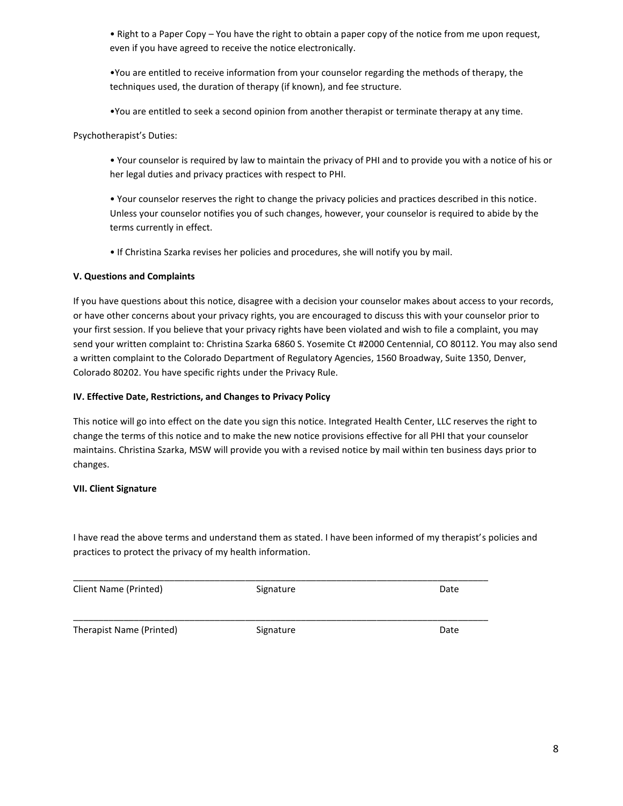• Right to a Paper Copy – You have the right to obtain a paper copy of the notice from me upon request, even if you have agreed to receive the notice electronically.

•You are entitled to receive information from your counselor regarding the methods of therapy, the techniques used, the duration of therapy (if known), and fee structure.

•You are entitled to seek a second opinion from another therapist or terminate therapy at any time.

Psychotherapist's Duties:

• Your counselor is required by law to maintain the privacy of PHI and to provide you with a notice of his or her legal duties and privacy practices with respect to PHI.

• Your counselor reserves the right to change the privacy policies and practices described in this notice. Unless your counselor notifies you of such changes, however, your counselor is required to abide by the terms currently in effect.

• If Christina Szarka revises her policies and procedures, she will notify you by mail.

## **V. Questions and Complaints**

If you have questions about this notice, disagree with a decision your counselor makes about access to your records, or have other concerns about your privacy rights, you are encouraged to discuss this with your counselor prior to your first session. If you believe that your privacy rights have been violated and wish to file a complaint, you may send your written complaint to: Christina Szarka 6860 S. Yosemite Ct #2000 Centennial, CO 80112. You may also send a written complaint to the Colorado Department of Regulatory Agencies, 1560 Broadway, Suite 1350, Denver, Colorado 80202. You have specific rights under the Privacy Rule.

## **IV. Effective Date, Restrictions, and Changes to Privacy Policy**

This notice will go into effect on the date you sign this notice. Integrated Health Center, LLC reserves the right to change the terms of this notice and to make the new notice provisions effective for all PHI that your counselor maintains. Christina Szarka, MSW will provide you with a revised notice by mail within ten business days prior to changes.

# **VII. Client Signature**

I have read the above terms and understand them as stated. I have been informed of my therapist's policies and practices to protect the privacy of my health information.

| Client Name (Printed)    | Signature | Date |
|--------------------------|-----------|------|
| Therapist Name (Printed) | Signature | Date |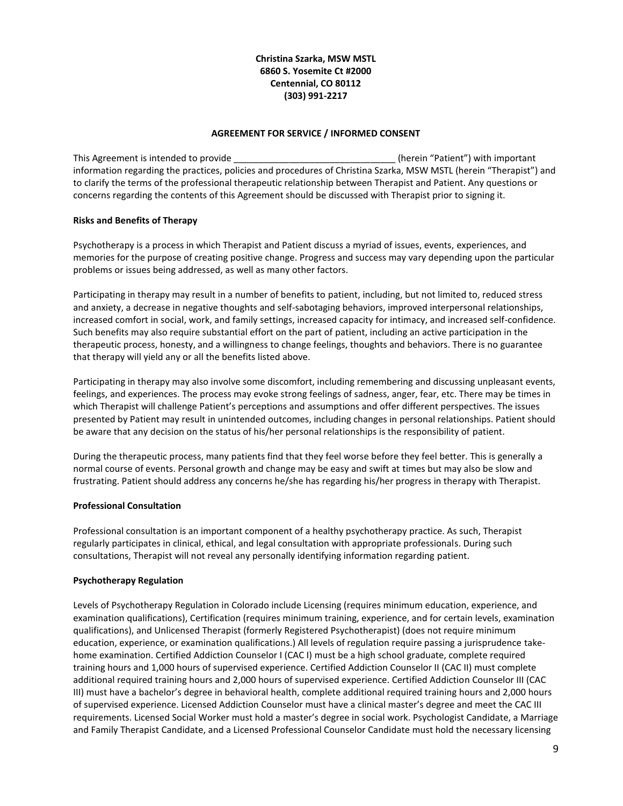## **Christina Szarka, MSW MSTL 6860 S. Yosemite Ct #2000 Centennial, CO 80112 (303) 991-2217**

## **AGREEMENT FOR SERVICE / INFORMED CONSENT**

This Agreement is intended to provide the state of the state of the state (herein "Patient") with important information regarding the practices, policies and procedures of Christina Szarka, MSW MSTL (herein "Therapist") and to clarify the terms of the professional therapeutic relationship between Therapist and Patient. Any questions or concerns regarding the contents of this Agreement should be discussed with Therapist prior to signing it.

### **Risks and Benefits of Therapy**

Psychotherapy is a process in which Therapist and Patient discuss a myriad of issues, events, experiences, and memories for the purpose of creating positive change. Progress and success may vary depending upon the particular problems or issues being addressed, as well as many other factors.

Participating in therapy may result in a number of benefits to patient, including, but not limited to, reduced stress and anxiety, a decrease in negative thoughts and self-sabotaging behaviors, improved interpersonal relationships, increased comfort in social, work, and family settings, increased capacity for intimacy, and increased self-confidence. Such benefits may also require substantial effort on the part of patient, including an active participation in the therapeutic process, honesty, and a willingness to change feelings, thoughts and behaviors. There is no guarantee that therapy will yield any or all the benefits listed above.

Participating in therapy may also involve some discomfort, including remembering and discussing unpleasant events, feelings, and experiences. The process may evoke strong feelings of sadness, anger, fear, etc. There may be times in which Therapist will challenge Patient's perceptions and assumptions and offer different perspectives. The issues presented by Patient may result in unintended outcomes, including changes in personal relationships. Patient should be aware that any decision on the status of his/her personal relationships is the responsibility of patient.

During the therapeutic process, many patients find that they feel worse before they feel better. This is generally a normal course of events. Personal growth and change may be easy and swift at times but may also be slow and frustrating. Patient should address any concerns he/she has regarding his/her progress in therapy with Therapist.

### **Professional Consultation**

Professional consultation is an important component of a healthy psychotherapy practice. As such, Therapist regularly participates in clinical, ethical, and legal consultation with appropriate professionals. During such consultations, Therapist will not reveal any personally identifying information regarding patient.

### **Psychotherapy Regulation**

Levels of Psychotherapy Regulation in Colorado include Licensing (requires minimum education, experience, and examination qualifications), Certification (requires minimum training, experience, and for certain levels, examination qualifications), and Unlicensed Therapist (formerly Registered Psychotherapist) (does not require minimum education, experience, or examination qualifications.) All levels of regulation require passing a jurisprudence takehome examination. Certified Addiction Counselor I (CAC I) must be a high school graduate, complete required training hours and 1,000 hours of supervised experience. Certified Addiction Counselor II (CAC II) must complete additional required training hours and 2,000 hours of supervised experience. Certified Addiction Counselor III (CAC III) must have a bachelor's degree in behavioral health, complete additional required training hours and 2,000 hours of supervised experience. Licensed Addiction Counselor must have a clinical master's degree and meet the CAC III requirements. Licensed Social Worker must hold a master's degree in social work. Psychologist Candidate, a Marriage and Family Therapist Candidate, and a Licensed Professional Counselor Candidate must hold the necessary licensing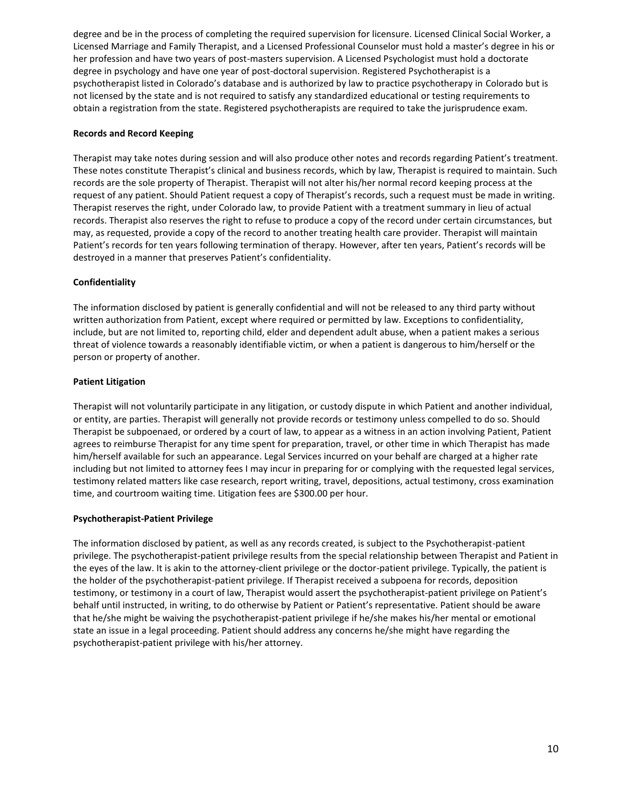degree and be in the process of completing the required supervision for licensure. Licensed Clinical Social Worker, a Licensed Marriage and Family Therapist, and a Licensed Professional Counselor must hold a master's degree in his or her profession and have two years of post-masters supervision. A Licensed Psychologist must hold a doctorate degree in psychology and have one year of post-doctoral supervision. Registered Psychotherapist is a psychotherapist listed in Colorado's database and is authorized by law to practice psychotherapy in Colorado but is not licensed by the state and is not required to satisfy any standardized educational or testing requirements to obtain a registration from the state. Registered psychotherapists are required to take the jurisprudence exam.

### **Records and Record Keeping**

Therapist may take notes during session and will also produce other notes and records regarding Patient's treatment. These notes constitute Therapist's clinical and business records, which by law, Therapist is required to maintain. Such records are the sole property of Therapist. Therapist will not alter his/her normal record keeping process at the request of any patient. Should Patient request a copy of Therapist's records, such a request must be made in writing. Therapist reserves the right, under Colorado law, to provide Patient with a treatment summary in lieu of actual records. Therapist also reserves the right to refuse to produce a copy of the record under certain circumstances, but may, as requested, provide a copy of the record to another treating health care provider. Therapist will maintain Patient's records for ten years following termination of therapy. However, after ten years, Patient's records will be destroyed in a manner that preserves Patient's confidentiality.

#### **Confidentiality**

The information disclosed by patient is generally confidential and will not be released to any third party without written authorization from Patient, except where required or permitted by law. Exceptions to confidentiality, include, but are not limited to, reporting child, elder and dependent adult abuse, when a patient makes a serious threat of violence towards a reasonably identifiable victim, or when a patient is dangerous to him/herself or the person or property of another.

#### **Patient Litigation**

Therapist will not voluntarily participate in any litigation, or custody dispute in which Patient and another individual, or entity, are parties. Therapist will generally not provide records or testimony unless compelled to do so. Should Therapist be subpoenaed, or ordered by a court of law, to appear as a witness in an action involving Patient, Patient agrees to reimburse Therapist for any time spent for preparation, travel, or other time in which Therapist has made him/herself available for such an appearance. Legal Services incurred on your behalf are charged at a higher rate including but not limited to attorney fees I may incur in preparing for or complying with the requested legal services, testimony related matters like case research, report writing, travel, depositions, actual testimony, cross examination time, and courtroom waiting time. Litigation fees are \$300.00 per hour.

### **Psychotherapist-Patient Privilege**

The information disclosed by patient, as well as any records created, is subject to the Psychotherapist-patient privilege. The psychotherapist-patient privilege results from the special relationship between Therapist and Patient in the eyes of the law. It is akin to the attorney-client privilege or the doctor-patient privilege. Typically, the patient is the holder of the psychotherapist-patient privilege. If Therapist received a subpoena for records, deposition testimony, or testimony in a court of law, Therapist would assert the psychotherapist-patient privilege on Patient's behalf until instructed, in writing, to do otherwise by Patient or Patient's representative. Patient should be aware that he/she might be waiving the psychotherapist-patient privilege if he/she makes his/her mental or emotional state an issue in a legal proceeding. Patient should address any concerns he/she might have regarding the psychotherapist-patient privilege with his/her attorney.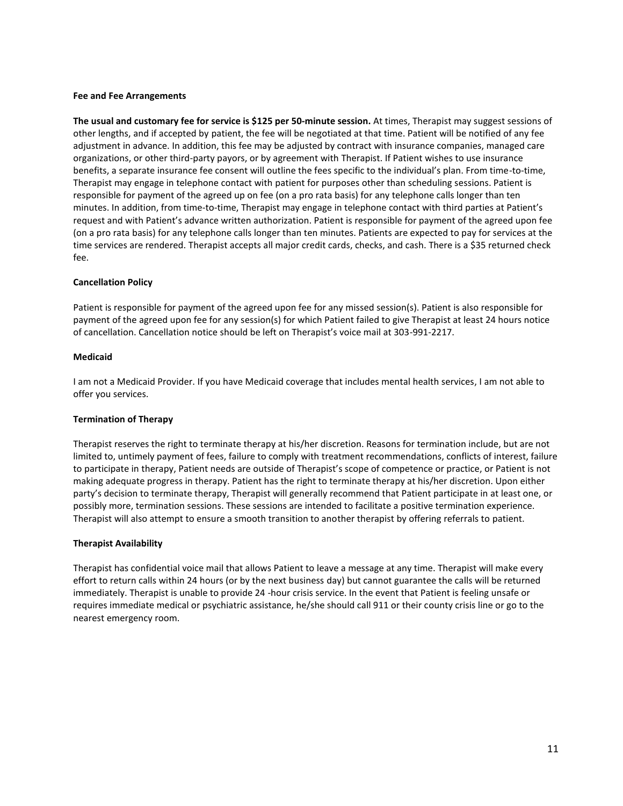#### **Fee and Fee Arrangements**

**The usual and customary fee for service is \$125 per 50-minute session.** At times, Therapist may suggest sessions of other lengths, and if accepted by patient, the fee will be negotiated at that time. Patient will be notified of any fee adjustment in advance. In addition, this fee may be adjusted by contract with insurance companies, managed care organizations, or other third-party payors, or by agreement with Therapist. If Patient wishes to use insurance benefits, a separate insurance fee consent will outline the fees specific to the individual's plan. From time-to-time, Therapist may engage in telephone contact with patient for purposes other than scheduling sessions. Patient is responsible for payment of the agreed up on fee (on a pro rata basis) for any telephone calls longer than ten minutes. In addition, from time-to-time, Therapist may engage in telephone contact with third parties at Patient's request and with Patient's advance written authorization. Patient is responsible for payment of the agreed upon fee (on a pro rata basis) for any telephone calls longer than ten minutes. Patients are expected to pay for services at the time services are rendered. Therapist accepts all major credit cards, checks, and cash. There is a \$35 returned check fee.

#### **Cancellation Policy**

Patient is responsible for payment of the agreed upon fee for any missed session(s). Patient is also responsible for payment of the agreed upon fee for any session(s) for which Patient failed to give Therapist at least 24 hours notice of cancellation. Cancellation notice should be left on Therapist's voice mail at 303-991-2217.

#### **Medicaid**

I am not a Medicaid Provider. If you have Medicaid coverage that includes mental health services, I am not able to offer you services.

#### **Termination of Therapy**

Therapist reserves the right to terminate therapy at his/her discretion. Reasons for termination include, but are not limited to, untimely payment of fees, failure to comply with treatment recommendations, conflicts of interest, failure to participate in therapy, Patient needs are outside of Therapist's scope of competence or practice, or Patient is not making adequate progress in therapy. Patient has the right to terminate therapy at his/her discretion. Upon either party's decision to terminate therapy, Therapist will generally recommend that Patient participate in at least one, or possibly more, termination sessions. These sessions are intended to facilitate a positive termination experience. Therapist will also attempt to ensure a smooth transition to another therapist by offering referrals to patient.

### **Therapist Availability**

Therapist has confidential voice mail that allows Patient to leave a message at any time. Therapist will make every effort to return calls within 24 hours (or by the next business day) but cannot guarantee the calls will be returned immediately. Therapist is unable to provide 24 -hour crisis service. In the event that Patient is feeling unsafe or requires immediate medical or psychiatric assistance, he/she should call 911 or their county crisis line or go to the nearest emergency room.